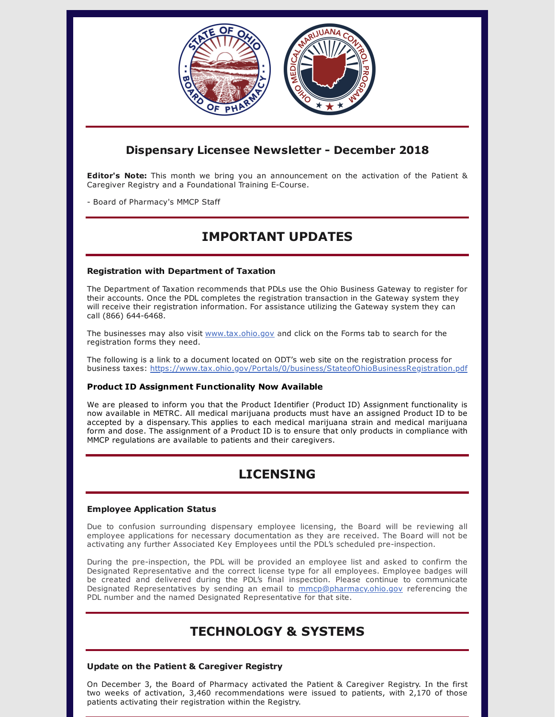

### **Dispensary Licensee Newsletter - December 2018**

**Editor's Note:** This month we bring you an announcement on the activation of the Patient & Caregiver Registry and a Foundational Training E-Course.

- Board of Pharmacy's MMCP Staff

# **IMPORTANT UPDATES**

### **Registration with Department of Taxation**

The Department of Taxation recommends that PDLs use the Ohio Business Gateway to register for their accounts. Once the PDL completes the registration transaction in the Gateway system they will receive their registration information. For assistance utilizing the Gateway system they can call (866) 644-6468.

The businesses may also visit [www.tax.ohio.gov](http://www.tax.ohio.gov/) and click on the Forms tab to search for the registration forms they need.

The following is a link to a document located on ODT's web site on the registration process for business taxes: <https://www.tax.ohio.gov/Portals/0/business/StateofOhioBusinessRegistration.pdf>

### **Product ID Assignment Functionality Now Available**

We are pleased to inform you that the Product Identifier (Product ID) Assignment functionality is now available in METRC. All medical marijuana products must have an assigned Product ID to be accepted by a dispensary. This applies to each medical marijuana strain and medical marijuana form and dose. The assignment of a Product ID is to ensure that only products in compliance with MMCP regulations are available to patients and their caregivers.

# **LICENSING**

### **Employee Application Status**

Due to confusion surrounding dispensary employee licensing, the Board will be reviewing all employee applications for necessary documentation as they are received. The Board will not be activating any further Associated Key Employees until the PDL's scheduled pre-inspection.

During the pre-inspection, the PDL will be provided an employee list and asked to confirm the Designated Representative and the correct license type for all employees. Employee badges will be created and delivered during the PDL's final inspection. Please continue to communicate Designated Representatives by sending an email to [mmcp@pharmacy.ohio.gov](mailto:mmcp@pharmacy.ohio.gov) referencing the PDL number and the named Designated Representative for that site.

### **TECHNOLOGY & SYSTEMS**

### **Update on the Patient & Caregiver Registry**

On December 3, the Board of Pharmacy activated the Patient & Caregiver Registry. In the first two weeks of activation, 3,460 recommendations were issued to patients, with 2,170 of those patients activating their registration within the Registry.